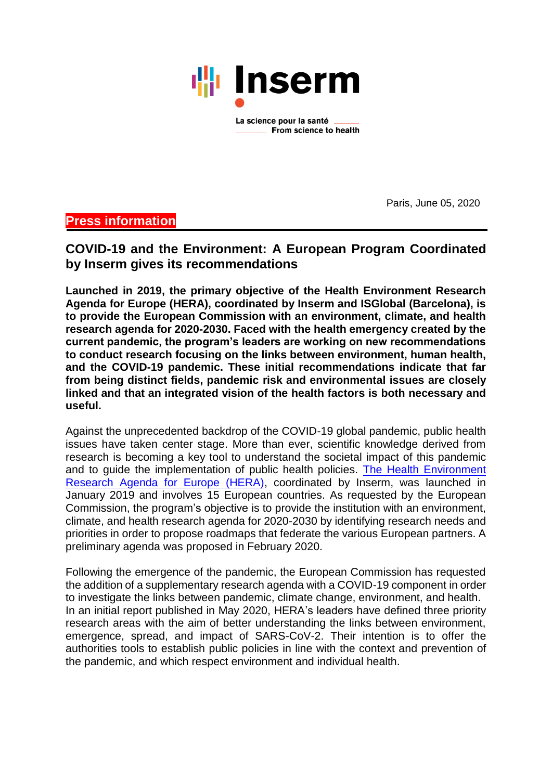

From science to health

Paris, June 05, 2020

# **Press information**

**COVID-19 and the Environment: A European Program Coordinated by Inserm gives its recommendations**

**Launched in 2019, the primary objective of the Health Environment Research Agenda for Europe (HERA), coordinated by Inserm and ISGlobal (Barcelona), is to provide the European Commission with an environment, climate, and health research agenda for 2020-2030. Faced with the health emergency created by the current pandemic, the program's leaders are working on new recommendations to conduct research focusing on the links between environment, human health, and the COVID-19 pandemic. These initial recommendations indicate that far from being distinct fields, pandemic risk and environmental issues are closely linked and that an integrated vision of the health factors is both necessary and useful.** 

Against the unprecedented backdrop of the COVID-19 global pandemic, public health issues have taken center stage. More than ever, scientific knowledge derived from research is becoming a key tool to understand the societal impact of this pandemic and to guide the implementation of public health policies. [The Health Environment](https://www.heraresearcheu.eu/)  [Research Agenda for Europe \(HERA\),](https://www.heraresearcheu.eu/) coordinated by Inserm, was launched in January 2019 and involves 15 European countries. As requested by the European Commission, the program's objective is to provide the institution with an environment, climate, and health research agenda for 2020-2030 by identifying research needs and priorities in order to propose roadmaps that federate the various European partners. A preliminary agenda was proposed in February 2020.

Following the emergence of the pandemic, the European Commission has requested the addition of a supplementary research agenda with a COVID-19 component in order to investigate the links between pandemic, climate change, environment, and health. In an initial report published in May 2020, HERA's leaders have defined three priority research areas with the aim of better understanding the links between environment, emergence, spread, and impact of SARS-CoV-2. Their intention is to offer the authorities tools to establish public policies in line with the context and prevention of the pandemic, and which respect environment and individual health.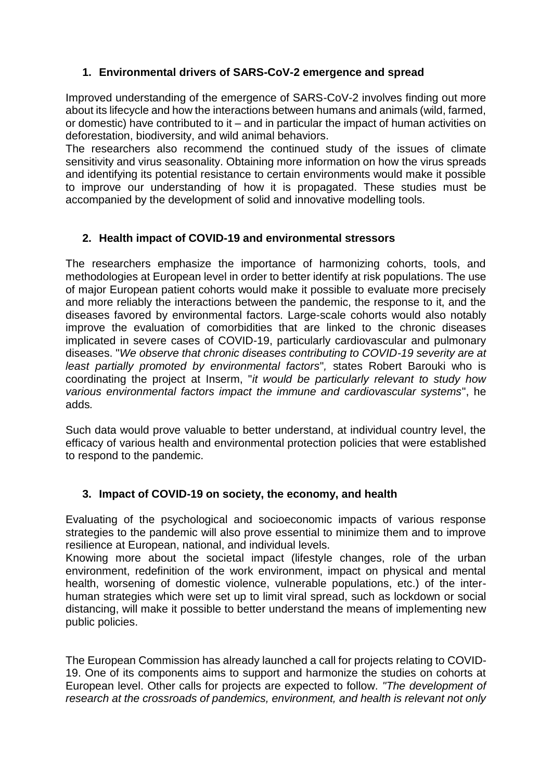### **1. Environmental drivers of SARS-CoV-2 emergence and spread**

Improved understanding of the emergence of SARS-CoV-2 involves finding out more about its lifecycle and how the interactions between humans and animals (wild, farmed, or domestic) have contributed to it – and in particular the impact of human activities on deforestation, biodiversity, and wild animal behaviors.

The researchers also recommend the continued study of the issues of climate sensitivity and virus seasonality. Obtaining more information on how the virus spreads and identifying its potential resistance to certain environments would make it possible to improve our understanding of how it is propagated. These studies must be accompanied by the development of solid and innovative modelling tools.

## **2. Health impact of COVID-19 and environmental stressors**

The researchers emphasize the importance of harmonizing cohorts, tools, and methodologies at European level in order to better identify at risk populations. The use of major European patient cohorts would make it possible to evaluate more precisely and more reliably the interactions between the pandemic, the response to it, and the diseases favored by environmental factors. Large-scale cohorts would also notably improve the evaluation of comorbidities that are linked to the chronic diseases implicated in severe cases of COVID-19, particularly cardiovascular and pulmonary diseases. "*We observe that chronic diseases contributing to COVID-19 severity are at least partially promoted by environmental factors*"*,* states Robert Barouki who is coordinating the project at Inserm, "*it would be particularly relevant to study how various environmental factors impact the immune and cardiovascular systems*", he adds*.*

Such data would prove valuable to better understand, at individual country level, the efficacy of various health and environmental protection policies that were established to respond to the pandemic.

### **3. Impact of COVID-19 on society, the economy, and health**

Evaluating of the psychological and socioeconomic impacts of various response strategies to the pandemic will also prove essential to minimize them and to improve resilience at European, national, and individual levels.

Knowing more about the societal impact (lifestyle changes, role of the urban environment, redefinition of the work environment, impact on physical and mental health, worsening of domestic violence, vulnerable populations, etc.) of the interhuman strategies which were set up to limit viral spread, such as lockdown or social distancing, will make it possible to better understand the means of implementing new public policies.

The European Commission has already launched a call for projects relating to COVID-19. One of its components aims to support and harmonize the studies on cohorts at European level. Other calls for projects are expected to follow. *"The development of research at the crossroads of pandemics, environment, and health is relevant not only*